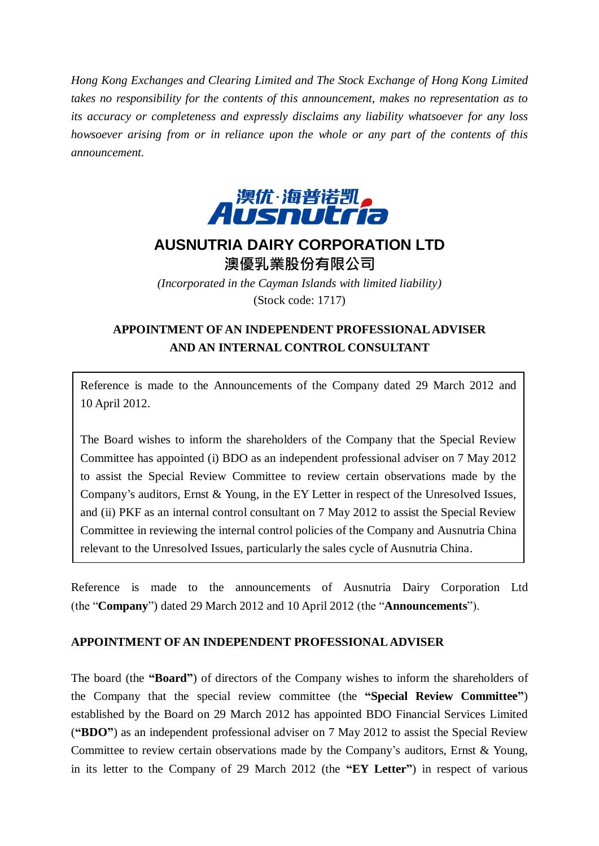*Hong Kong Exchanges and Clearing Limited and The Stock Exchange of Hong Kong Limited takes no responsibility for the contents of this announcement, makes no representation as to its accuracy or completeness and expressly disclaims any liability whatsoever for any loss howsoever arising from or in reliance upon the whole or any part of the contents of this announcement.*



## **AUSNUTRIA DAIRY CORPORATION LTD** 澳優乳業股份有限公司

*(Incorporated in the Cayman Islands with limited liability)* (Stock code: 1717)

## **APPOINTMENT OF AN INDEPENDENT PROFESSIONAL ADVISER AND AN INTERNAL CONTROL CONSULTANT**

Reference is made to the Announcements of the Company dated 29 March 2012 and 10 April 2012.

The Board wishes to inform the shareholders of the Company that the Special Review Committee has appointed (i) BDO as an independent professional adviser on 7 May 2012 to assist the Special Review Committee to review certain observations made by the Company's auditors, Ernst & Young, in the EY Letter in respect of the Unresolved Issues, and (ii) PKF as an internal control consultant on 7 May 2012 to assist the Special Review Committee in reviewing the internal control policies of the Company and Ausnutria China relevant to the Unresolved Issues, particularly the sales cycle of Ausnutria China.

Reference is made to the announcements of Ausnutria Dairy Corporation Ltd (the "**Company**") dated 29 March 2012 and 10 April 2012 (the "**Announcements**").

## **APPOINTMENT OF AN INDEPENDENT PROFESSIONAL ADVISER**

The board (the **"Board"**) of directors of the Company wishes to inform the shareholders of the Company that the special review committee (the **"Special Review Committee"**) established by the Board on 29 March 2012 has appointed BDO Financial Services Limited (**"BDO"**) as an independent professional adviser on 7 May 2012 to assist the Special Review Committee to review certain observations made by the Company's auditors, Ernst & Young, in its letter to the Company of 29 March 2012 (the **"EY Letter"**) in respect of various